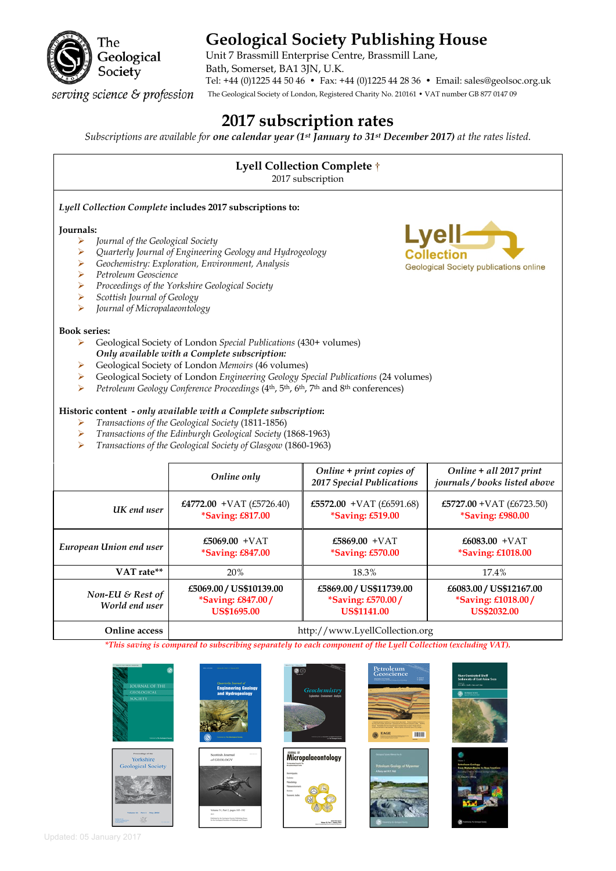

# **Geological Society Publishing House**

Unit 7 Brassmill Enterprise Centre, Brassmill Lane, Bath, Somerset, BA1 3JN, U.K. Tel: +44 (0)1225 44 50 46 • Fax: +44 (0)1225 44 28 36 • Email: sales@geolsoc.org.uk The Geological Society of London, Registered Charity No. 210161 • VAT number GB 877 0147 09

serving science & profession

# **2017 subscription rates**

*Subscriptions are available for one calendar year (1st January to 31st December 2017) at the rates listed.* 

# **Lyell Collection Complete** †

2017 subscription

# *Lyell Collection Complete* **includes 2017 subscriptions to:**

#### **Journals:**

- *Journal of the Geological Society*
- *Quarterly Journal of Engineering Geology and Hydrogeology*
- *Geochemistry: Exploration, Environment, Analysis*
- *Petroleum Geoscience*
- *Proceedings of the Yorkshire Geological Society*
- *Scottish Journal of Geology*
- *Journal of Micropalaeontology*

#### **Book series:**

- Geological Society of London *Special Publications* (430+ volumes) *Only available with a Complete subscription:*
- Geological Society of London *Memoirs* (46 volumes)
- Geological Society of London *Engineering Geology Special Publications* (24 volumes)
- *Petroleum Geology Conference Proceedings* (4th, 5th, 6th, 7th and 8th conferences)

#### **Historic content -** *only available with a Complete subscription***:**

- *Transactions of the Geological Society* (1811-1856)
- *Transactions of the Edinburgh Geological Society* (1868-1963)
- *Transactions of the Geological Society of Glasgow* (1860-1963)

|                                    | Online only                                                               | Online $+$ print copies of<br>2017 Special Publications            | Online + all 2017 print<br>journals/books listed above                     |
|------------------------------------|---------------------------------------------------------------------------|--------------------------------------------------------------------|----------------------------------------------------------------------------|
| UK end user                        | £4772.00 + VAT $(E5726.40)$<br>*Saving: £817.00                           | £5572.00 + VAT $(E6591.68)$<br><i>*Saving: £519.00</i>             | £5727.00 + VAT $(E6723.50)$<br><i>*Saving: £980.00</i>                     |
| European Union end user            | £5069.00 $+VAT$<br><i>*Saving: £847.00</i>                                | £5869.00 + VAT<br><i>*Saving: £570.00</i>                          | £6083.00 $+VAT$<br><i>*Saving: £1018.00</i>                                |
| VAT rate**                         | 20%                                                                       | 18.3%                                                              | 17.4%                                                                      |
| Non-EU & Rest of<br>World end user | £5069.00 / US\$10139.00<br><i>*Saving: £847.00/</i><br><b>US\$1695.00</b> | £5869.00 / US\$11739.00<br>*Saving: £570.00/<br><b>US\$1141.00</b> | £6083.00 / US\$12167.00<br><i>*Saving: £1018.00/</i><br><b>US\$2032.00</b> |
| Online access                      |                                                                           | http://www.LyellCollection.org                                     |                                                                            |

*\*This saving is compared to subscribing separately to each component of the Lyell Collection (excluding VAT).* 

















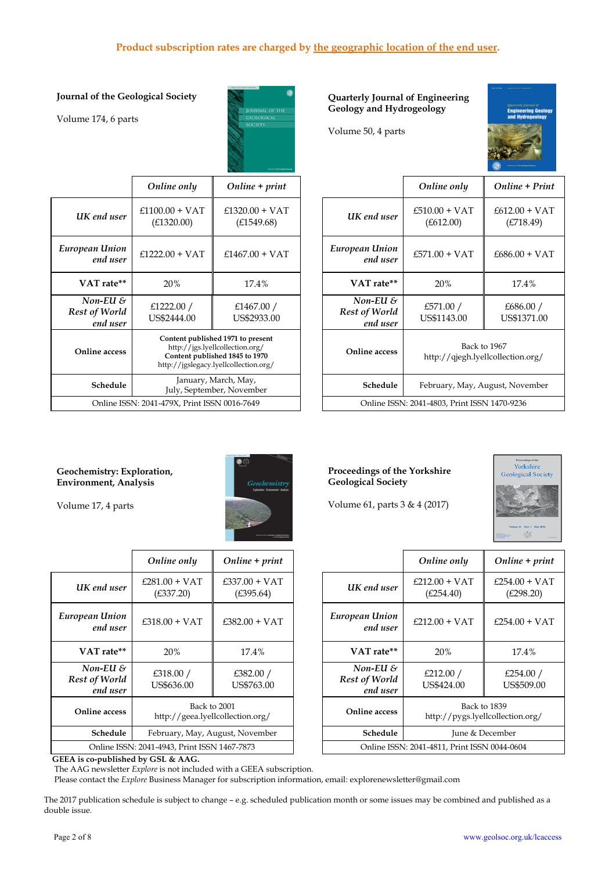# **Product subscription rates are charged by the geographic location of the end user.**

## **Journal of the Geological Society**

Volume 174, 6 parts



#### **Quarterly Journal of Engineering Geology and Hydrogeology**

Volume 50, 4 parts



|                                            | Online only                                                                                                                                     | $Online + print$               |                                          | Online only                                       | Online + Print                  |
|--------------------------------------------|-------------------------------------------------------------------------------------------------------------------------------------------------|--------------------------------|------------------------------------------|---------------------------------------------------|---------------------------------|
| IK end user                                | $£1100.00 + VAT$<br>(E1320.00)                                                                                                                  | $£1320.00 + VAT$<br>(E1549.68) | UK end user                              | $£510.00 + VAT$<br>(E612.00)                      | $£612.00 + VAT$<br>(E718.49)    |
| pean Union<br>end user                     | $£1222.00 + VAT$                                                                                                                                | $£1467.00 + VAT$               | European Union<br>end user               | $£571.00 + VAT$                                   | $£686.00 + VAT$                 |
| VAT rate**                                 | 20%                                                                                                                                             | 17.4%                          | VAT rate**                               | 20%                                               | 17.4%                           |
| Non-EU $\delta$<br>st of World<br>end user | £1222.00 $/$<br>US\$2444.00                                                                                                                     | £1467.00 $/$<br>US\$2933.00    | Non-EU $\&$<br>Rest of World<br>end user | £571.00 $/$<br>US\$1143.00                        | £686.00 /<br>US\$1371.00        |
| nline access)                              | Content published 1971 to present<br>http://jgs.lyellcollection.org/<br>Content published 1845 to 1970<br>http://jgslegacy.lyellcollection.org/ |                                | Online access                            | Back to 1967<br>http://qjegh.lyellcollection.org/ |                                 |
| Schedule                                   | January, March, May,<br>July, September, November                                                                                               |                                | Schedule                                 |                                                   | February, May, August, November |
|                                            | Online ISSN: 2041-479X, Print ISSN 0016-7649                                                                                                    |                                |                                          | Online ISSN: 2041-4803, Print ISSN 1470-9236      |                                 |

## **Geochemistry: Exploration, Environment, Analysis**



Volume 17, 4 parts

*European Union* 

*Non-EU & Rest of World end user* 

**Online access** 

|                                              | Online only                                      | $Online + print$             |                                              | Online only                     | Online + $p$                     |
|----------------------------------------------|--------------------------------------------------|------------------------------|----------------------------------------------|---------------------------------|----------------------------------|
| UK end user                                  | $£281.00 + VAT$<br>(E337.20)                     | $£337.00 + VAT$<br>(E395.64) | UK end user                                  | $£212.00 + VAT$<br>(E254.40)    | £254.00 + $\sqrt{ }$<br>(E298.20 |
| European Union<br>end user                   | $£318.00 + VAT$                                  | $£382.00 + VAT$              | European Union<br>end user                   | $£212.00 + VAT$                 | £254.00 + $\sqrt{ }$             |
| VAT rate**                                   | 20%                                              | 17.4%                        | VAT rate**                                   | 20%                             | 17.4%                            |
| $Non-EU$ &<br>Rest of World<br>end user      | £318.00 /<br>US\$636.00                          | £382.00 $/$<br>US\$763.00    | $Non-EU$ &<br>Rest of World<br>end user      | £212.00 $/$<br>US\$424.00       | £254.00<br>US\$509.              |
| Online access                                | Back to 2001<br>http://geea.lyellcollection.org/ |                              | Online access                                | http://pygs.lyellcollection.org | Back to 1839                     |
| Schedule                                     | February, May, August, November                  |                              | Schedule                                     |                                 | June & December                  |
| Online ISSN: 2041-4943, Print ISSN 1467-7873 |                                                  |                              | Online ISSN: 2041-4811, Print ISSN 0044-0604 |                                 |                                  |

**Proceedings of the Yorkshire Geological Society** 

Volume 61, parts 3 & 4 (2017)



|                                              | Online only                                      | $Online + print$                             |                                                         | Online only                                      | $Online + print$             |
|----------------------------------------------|--------------------------------------------------|----------------------------------------------|---------------------------------------------------------|--------------------------------------------------|------------------------------|
| end user !                                   | $£281.00 + VAT$<br>(E337.20)                     | $£337.00 + VAT$<br>(E395.64)                 | UK end user                                             | $£212.00 + VAT$<br>(E254.40)                     | $£254.00 + VAT$<br>(E298.20) |
| an Union<br>end user                         | $£318.00 + VAT$                                  | $£382.00 + VAT$                              | European Union<br>end user                              | $£212.00 + VAT$                                  | $£254.00 + VAT$              |
| <b>AT</b> rate**                             | 20%                                              | 17.4%                                        | VAT rate**                                              | 20%                                              | 17.4%                        |
| on-EU &<br>of World<br>end user              | £318.00 /<br>US\$636.00                          | £382.00 $/$<br>US\$763.00                    | Non-EU $\mathcal S$<br><b>Rest of World</b><br>end user | £212.00 $/$<br>US\$424.00                        | £254.00 $/$<br>US\$509.00    |
| ine access                                   | Back to 2001<br>http://geea.lyellcollection.org/ |                                              | Online access                                           | Back to 1839<br>http://pygs.lyellcollection.org/ |                              |
| Schedule                                     | February, May, August, November                  |                                              | Schedule                                                | June & December                                  |                              |
| Online ISSN: 2041-4943, Print ISSN 1467-7873 |                                                  | Online ISSN: 2041-4811, Print ISSN 0044-0604 |                                                         |                                                  |                              |
|                                              |                                                  |                                              |                                                         |                                                  |                              |

 **GEEA is co-published by GSL & AAG.** 

The AAG newsletter *Explore* is not included with a GEEA subscription.

Please contact the *Explore* Business Manager for subscription information, email: explorenewsletter@gmail.com

The 2017 publication schedule is subject to change – e.g. scheduled publication month or some issues may be combined and published as a double issue.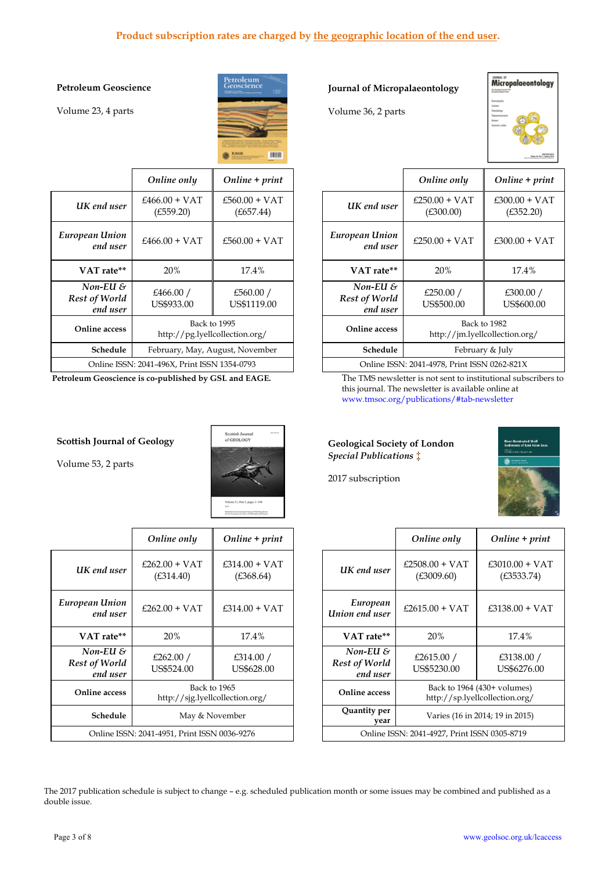# **Product subscription rates are charged by the geographic location of the end user.**

## **Petroleum Geoscience**

Volume 23, 4 parts



|                                                | Online only                                    | $Online + print$             |                                                  | Online only                  | Onli            |
|------------------------------------------------|------------------------------------------------|------------------------------|--------------------------------------------------|------------------------------|-----------------|
| UK end user                                    | $£466.00 + VAT$<br>(E559.20)                   | $£560.00 + VAT$<br>(E657.44) | UK end user                                      | $£250.00 + VAT$<br>(E300.00) | £300.<br>(£     |
| European Union<br>end user                     | $£466.00 + VAT$                                | $£560.00 + VAT$              | European Union<br>end user                       | $£250.00 + VAT$              | £300.           |
| VAT rate**                                     | 20%                                            | 17.4%                        | VAT rate**                                       | <b>20%</b>                   |                 |
| $Non-EU$ &<br><b>Rest of World</b><br>end user | £466.00 $/$<br>US\$933.00                      | £560.00 $/$<br>US\$1119.00   | Non-EU $\mathcal S$<br>Rest of World<br>end user | £250.00 $/$<br>US\$500.00    | £3<br>US        |
| Online access                                  | Back to 1995<br>http://pg.lyellcollection.org/ |                              | <b>Online access</b>                             | http://jm.lyellcollectio     | Back to 1982    |
| Schedule                                       | February, May, August, November                |                              | Schedule                                         |                              | February & July |
| Online ISSN: 2041-496X, Print ISSN 1354-0793   |                                                |                              | Online ISSN: 2041-4978, Print ISSN 0262-8.       |                              |                 |

#### **Scottish Journal of Geology**

Volume 53, 2 parts



|                                              | Online only                                     | $Online + print$             |                                              | Online only                    | Online + $p$                                                  |
|----------------------------------------------|-------------------------------------------------|------------------------------|----------------------------------------------|--------------------------------|---------------------------------------------------------------|
| UK end user                                  | $£262.00 + VAT$<br>(E314.40)                    | $£314.00 + VAT$<br>(E368.64) | UK end user                                  | $£2508.00 + VAT$<br>(E3009.60) | $£3010.00 +$<br>(E3533.7)                                     |
| European Union<br>end user                   | $£262.00 + VAT$                                 | $£314.00 + VAT$              | European<br>Union end user                   | $£2615.00 + VAT$               | $£3138.00 +$                                                  |
| VAT rate**                                   | 20%                                             | 17.4%                        | VAT rate**                                   | 20%                            | 17.4%                                                         |
| Non-EU $\delta$<br>Rest of World<br>end user | £262.00 $/$<br>US\$524.00                       | £314.00 $/$<br>US\$628.00    | $Non-EU$ &<br>Rest of World<br>end user      | £2615.00 $/$<br>US\$5230.00    | £3138.00<br>US\$6276.                                         |
| Online access                                | Back to 1965<br>http://sig.lyellcollection.org/ |                              | Online access                                |                                | Back to 1964 (430+ volumes)<br>http://sp.lyellcollection.org/ |
| Schedule                                     | May & November                                  |                              | Quantity per<br>vear                         |                                | Varies (16 in 2014; 19 in 2015)                               |
| Online ISSN: 2041-4951, Print ISSN 0036-9276 |                                                 |                              | Online ISSN: 2041-4927, Print ISSN 0305-8719 |                                |                                                               |

# **Journal of Micropalaeontology**

Volume 36, 2 parts



|                                                | Online only                                    | $Online + print$             |                                                         | Online only                                  | $Online + print$             |
|------------------------------------------------|------------------------------------------------|------------------------------|---------------------------------------------------------|----------------------------------------------|------------------------------|
| IK end user                                    | $£466.00 + VAT$<br>(E559.20)                   | $£560.00 + VAT$<br>(E657.44) | UK end user                                             | $£250.00 + VAT$<br>(E300.00)                 | $£300.00 + VAT$<br>(E352.20) |
| pean Union<br>end user                         | $£466.00 + VAT$                                | $£560.00 + VAT$              | European Union<br>end user                              | $£250.00 + VAT$                              | $£300.00 + VAT$              |
| VAT rate**                                     | 20%                                            | 17.4%                        | VAT rate**                                              | 20%                                          | 17.4%                        |
| Non-EU $\mathcal S$<br>st of World<br>end user | £466.00 $/$<br>US\$933.00                      | £560.00 /<br>US\$1119.00     | Non-EU $\mathcal S$<br><b>Rest of World</b><br>end user | £250.00 $/$<br>US\$500.00                    | £300.00 $/$<br>US\$600.00    |
| nline access)                                  | Back to 1995<br>http://pg.lyellcollection.org/ |                              | <b>Online access</b>                                    | http://jm.lyellcollection.org/               | Back to 1982                 |
| Schedule                                       | February, May, August, November                |                              | Schedule                                                | February & July                              |                              |
|                                                | Online ISSN: 2041-496X, Print ISSN 1354-0793   |                              |                                                         | Online ISSN: 2041-4978, Print ISSN 0262-821X |                              |

**Petroleum Geoscience is co-published by GSL and EAGE.** The TMS newsletter is not sent to institutional subscribers to this journal. The newsletter is available online at www.tmsoc.org/publications/#tab-newsletter

#### **Geological Society of London**  *Special Publications* ‡

2017 subscription



|                                 | Online only                                     | $Online + print$             |                                                         | Online only                                  | Online + print                                                |
|---------------------------------|-------------------------------------------------|------------------------------|---------------------------------------------------------|----------------------------------------------|---------------------------------------------------------------|
| end user !                      | $£262.00 + VAT$<br>(E314.40)                    | $£314.00 + VAT$<br>(E368.64) | UK end user                                             | $£2508.00 + VAT$<br>(E3009.60)               | $£3010.00 + VAT$<br>(E3533.74)                                |
| an Union<br>end user            | $£262.00 + VAT$                                 | $£314.00 + VAT$              | European<br>Union end user                              | $£2615.00 + VAT$                             | $£3138.00 + VAT$                                              |
| <b>AT</b> rate**                | 20%                                             | 17.4%                        | VAT rate**                                              | 20%                                          | 17.4%                                                         |
| on-EU &<br>of World<br>end user | £262.00 $/$<br>US\$524.00                       | £314.00 $/$<br>US\$628.00    | Non-EU $\mathcal S$<br><b>Rest of World</b><br>end user | £2615.00 $/$<br>US\$5230.00                  | £3138.00 /<br>US\$6276.00                                     |
| ine access                      | Back to 1965<br>http://sjg.lyellcollection.org/ |                              | Online access                                           |                                              | Back to 1964 (430+ volumes)<br>http://sp.lyellcollection.org/ |
| Schedule                        | May & November                                  |                              | Quantity per<br>vear                                    | Varies (16 in 2014; 19 in 2015)              |                                                               |
|                                 | Online ISSN: 2041-4951, Print ISSN 0036-9276    |                              |                                                         | Online ISSN: 2041-4927, Print ISSN 0305-8719 |                                                               |

The 2017 publication schedule is subject to change – e.g. scheduled publication month or some issues may be combined and published as a double issue.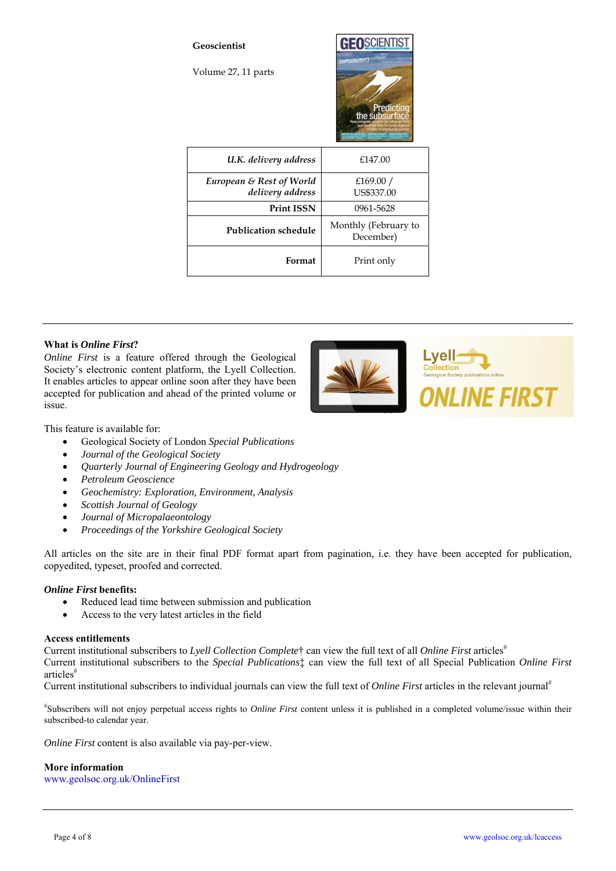

## **What is** *Online First***?**

*Online First* is a feature offered through the Geological Society's electronic content platform, the Lyell Collection. It enables articles to appear online soon after they have been accepted for publication and ahead of the printed volume or issue.

This feature is available for:

- Geological Society of London *Special Publications*
- *Journal of the Geological Society*
- *Quarterly Journal of Engineering Geology and Hydrogeology*
- *Petroleum Geoscience*
- *Geochemistry: Exploration, Environment, Analysis*
- *Scottish Journal of Geology*
- *Journal of Micropalaeontology*
- *Proceedings of the Yorkshire Geological Society*

All articles on the site are in their final PDF format apart from pagination, i.e. they have been accepted for publication, copyedited, typeset, proofed and corrected.

#### *Online First* **benefits:**

- Reduced lead time between submission and publication
- Access to the very latest articles in the field

#### **Access entitlements**

Current institutional subscribers to *Lyell Collection Complete*<sup>†</sup> can view the full text of all *Online First* articles<sup>#</sup> Current institutional subscribers to the *Special Publications*‡ can view the full text of all Special Publication *Online First* articles#

Current institutional subscribers to individual journals can view the full text of *Online First* articles in the relevant journal<sup>#</sup>

# Subscribers will not enjoy perpetual access rights to *Online First* content unless it is published in a completed volume/issue within their subscribed-to calendar year.

*Online First* content is also available via pay-per-view.

# **More information**

www.geolsoc.org.uk/OnlineFirst

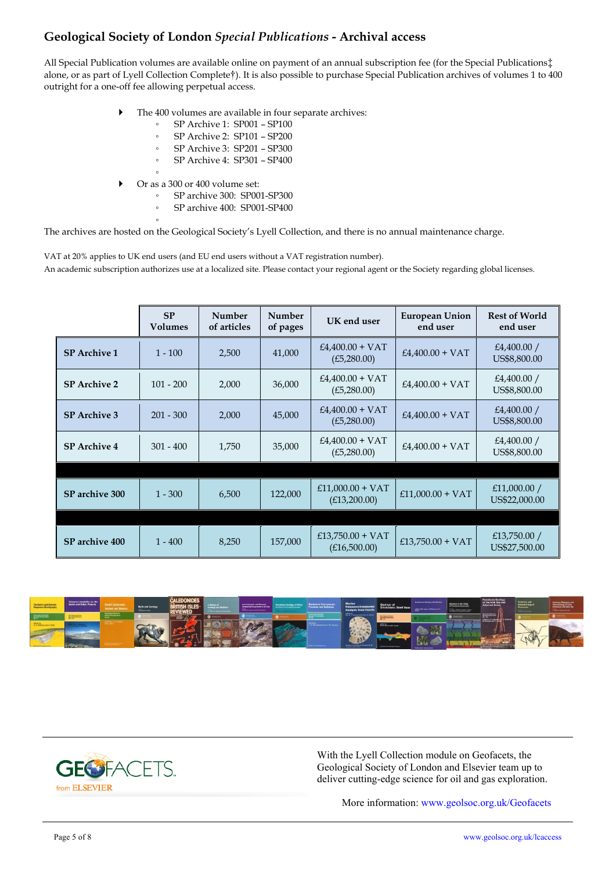# **Geological Society of London** *Special Publications* **- Archival access**

All Special Publication volumes are available online on payment of an annual subscription fee (for the Special Publications‡ alone, or as part of Lyell Collection Complete†). It is also possible to purchase Special Publication archives of volumes 1 to 400 outright for a one-off fee allowing perpetual access.

- The 400 volumes are available in four separate archives:
	- SP Archive 1: SP001 SP100
		- SP Archive 2: SP101 SP200
		- SP Archive 3: SP201 SP300
		- SP Archive 4: SP301 SP400
- ▶ Or as a 300 or 400 volume set:

◦

- SP archive 300: SP001-SP300
- SP archive 400: SP001-SP400

The archives are hosted on the Geological Society's Lyell Collection, and there is no annual maintenance charge.

VAT at 20% applies to UK end users (and EU end users without a VAT registration number).

An academic subscription authorizes use at a localized site. Please contact your regional agent or the Society regarding global licenses.

|                     | <b>SP</b><br><b>Volumes</b> | Number<br>of articles | Number<br>of pages | UK end user                        | <b>European Union</b><br>end user | <b>Rest of World</b><br>end user |
|---------------------|-----------------------------|-----------------------|--------------------|------------------------------------|-----------------------------------|----------------------------------|
| <b>SP</b> Archive 1 | $1 - 100$                   | 2,500                 | 41,000             | $£4,400.00 + VAT$<br>(E5, 280.00)  | $£4,400.00 + VAT$                 | £4,400.00 $/$<br>US\$8,800.00    |
| <b>SP</b> Archive 2 | $101 - 200$                 | 2,000                 | 36,000             | $£4,400.00 + VAT$<br>(E5, 280.00)  | $£4,400.00 + VAT$                 | £4,400.00 $/$<br>US\$8,800.00    |
| <b>SP</b> Archive 3 | $201 - 300$                 | 2,000                 | 45,000             | $£4,400.00 + VAT$<br>(E5, 280.00)  | $£4,400.00 + VAT$                 | £4,400.00 $/$<br>US\$8,800.00    |
| <b>SP</b> Archive 4 | $301 - 400$                 | 1,750                 | 35,000             | $£4,400.00 + VAT$<br>(E5,280.00)   | $£4,400.00 + VAT$                 | £4,400.00 $/$<br>US\$8,800.00    |
|                     |                             |                       |                    |                                    |                                   |                                  |
| SP archive 300      | $1 - 300$                   | 6,500                 | 122,000            | $£11,000.00 + VAT$<br>(E13,200.00) | $£11,000.00 + VAT$                | £11,000.00 $/$<br>US\$22,000.00  |
|                     |                             |                       |                    |                                    |                                   |                                  |
| SP archive 400      | $1 - 400$                   | 8,250                 | 157,000            | £13,750.00 + VAT<br>(E16,500.00)   | £13,750.00 + VAT                  | £13,750.00 $/$<br>US\$27,500.00  |





With the Lyell Collection module on Geofacets, the Geological Society of London and Elsevier team up to deliver cutting-edge science for oil and gas exploration.

More information: www.geolsoc.org.uk/Geofacets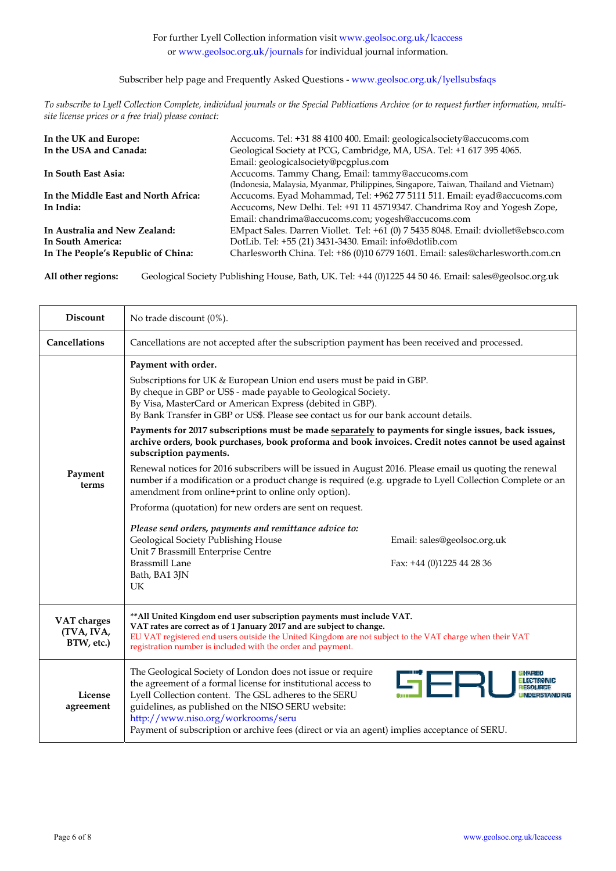## Subscriber help page and Frequently Asked Questions - www.geolsoc.org.uk/lyellsubsfaqs

*To subscribe to Lyell Collection Complete, individual journals or the Special Publications Archive (or to request further information, multisite license prices or a free trial) please contact:*

| In the UK and Europe:                | Accucoms. Tel: +31 88 4100 400. Email: geologicalsociety@accucoms.com                |
|--------------------------------------|--------------------------------------------------------------------------------------|
| In the USA and Canada:               | Geological Society at PCG, Cambridge, MA, USA. Tel: +1 617 395 4065.                 |
|                                      | Email: geologicalsociety@pcgplus.com                                                 |
| In South East Asia:                  | Accucoms. Tammy Chang, Email: tammy@accucoms.com                                     |
|                                      | (Indonesia, Malaysia, Myanmar, Philippines, Singapore, Taiwan, Thailand and Vietnam) |
| In the Middle East and North Africa: | Accucoms. Eyad Mohammad, Tel: +962 77 5111 511. Email: eyad@accucoms.com             |
| In India:                            | Accucoms, New Delhi. Tel: +91 11 45719347. Chandrima Roy and Yogesh Zope,            |
|                                      | Email: chandrima@accucoms.com; yogesh@accucoms.com                                   |
| In Australia and New Zealand:        | EMpact Sales. Darren Viollet. Tel: +61 (0) 7 5435 8048. Email: dviollet@ebsco.com    |
| In South America:                    | DotLib. Tel: +55 (21) 3431-3430. Email: info@dotlib.com                              |
| In The People's Republic of China:   | Charlesworth China. Tel: +86 (0)10 6779 1601. Email: sales@charlesworth.com.cn       |

**All other regions:** Geological Society Publishing House, Bath, UK. Tel: +44 (0)1225 44 50 46. Email: sales@geolsoc.org.uk

| <b>Discount</b>                         | No trade discount (0%).                                                                                                                                                                                                                                                                                                                                                                                                                                                                                                                                                                                                                                                                                                                                                                                                                                                                                                                                                                                                                                                                                                                                   |  |  |  |
|-----------------------------------------|-----------------------------------------------------------------------------------------------------------------------------------------------------------------------------------------------------------------------------------------------------------------------------------------------------------------------------------------------------------------------------------------------------------------------------------------------------------------------------------------------------------------------------------------------------------------------------------------------------------------------------------------------------------------------------------------------------------------------------------------------------------------------------------------------------------------------------------------------------------------------------------------------------------------------------------------------------------------------------------------------------------------------------------------------------------------------------------------------------------------------------------------------------------|--|--|--|
| <b>Cancellations</b>                    | Cancellations are not accepted after the subscription payment has been received and processed.                                                                                                                                                                                                                                                                                                                                                                                                                                                                                                                                                                                                                                                                                                                                                                                                                                                                                                                                                                                                                                                            |  |  |  |
| Payment<br>terms                        | Payment with order.<br>Subscriptions for UK & European Union end users must be paid in GBP.<br>By cheque in GBP or US\$ - made payable to Geological Society.<br>By Visa, MasterCard or American Express (debited in GBP).<br>By Bank Transfer in GBP or US\$. Please see contact us for our bank account details.<br>Payments for 2017 subscriptions must be made separately to payments for single issues, back issues,<br>archive orders, book purchases, book proforma and book invoices. Credit notes cannot be used against<br>subscription payments.<br>Renewal notices for 2016 subscribers will be issued in August 2016. Please email us quoting the renewal<br>number if a modification or a product change is required (e.g. upgrade to Lyell Collection Complete or an<br>amendment from online+print to online only option).<br>Proforma (quotation) for new orders are sent on request.<br>Please send orders, payments and remittance advice to:<br>Geological Society Publishing House<br>Email: sales@geolsoc.org.uk<br>Unit 7 Brassmill Enterprise Centre<br><b>Brassmill Lane</b><br>Fax: +44 (0)1225 44 28 36<br>Bath, BA1 3JN<br>UK |  |  |  |
| VAT charges<br>(TVA, IVA,<br>BTW, etc.) | ** All United Kingdom end user subscription payments must include VAT.<br>VAT rates are correct as of 1 January 2017 and are subject to change.<br>EU VAT registered end users outside the United Kingdom are not subject to the VAT charge when their VAT<br>registration number is included with the order and payment.                                                                                                                                                                                                                                                                                                                                                                                                                                                                                                                                                                                                                                                                                                                                                                                                                                 |  |  |  |
| License<br>agreement                    | The Geological Society of London does not issue or require<br>SERI<br>the agreement of a formal license for institutional access to<br>Lyell Collection content. The GSL adheres to the SERU<br>guidelines, as published on the NISO SERU website:<br>http://www.niso.org/workrooms/seru<br>Payment of subscription or archive fees (direct or via an agent) implies acceptance of SERU.                                                                                                                                                                                                                                                                                                                                                                                                                                                                                                                                                                                                                                                                                                                                                                  |  |  |  |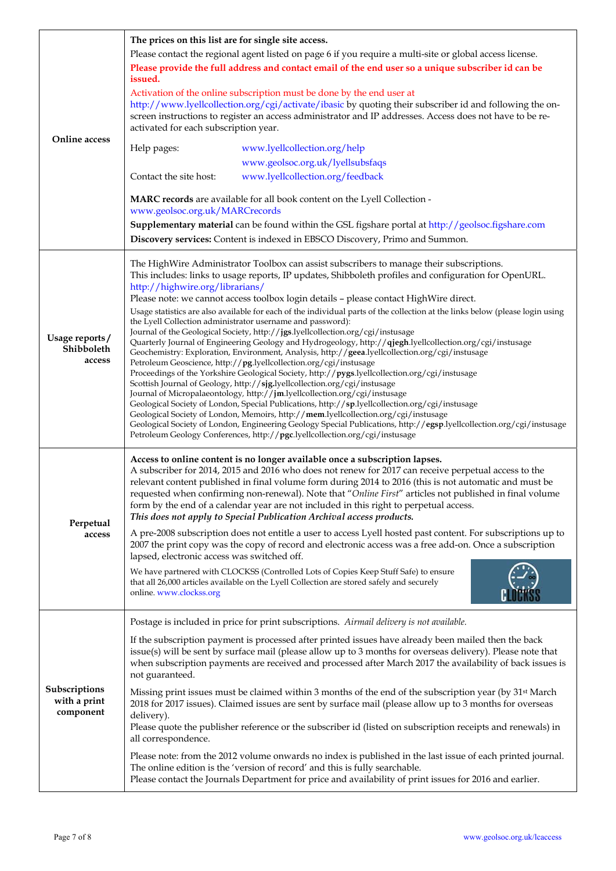| Online access                              | The prices on this list are for single site access.<br>Please contact the regional agent listed on page 6 if you require a multi-site or global access license.<br>Please provide the full address and contact email of the end user so a unique subscriber id can be<br>issued.<br>Activation of the online subscription must be done by the end user at<br>http://www.lyellcollection.org/cgi/activate/ibasic by quoting their subscriber id and following the on-<br>screen instructions to register an access administrator and IP addresses. Access does not have to be re-<br>activated for each subscription year.<br>Help pages:<br>www.lyellcollection.org/help<br>www.geolsoc.org.uk/lyellsubsfaqs<br>www.lyellcollection.org/feedback<br>Contact the site host:                                                                                                                                                                                                                                                                                                                                                                                                                                                                                                                                                                                                                                                                                                                                                                                          |
|--------------------------------------------|---------------------------------------------------------------------------------------------------------------------------------------------------------------------------------------------------------------------------------------------------------------------------------------------------------------------------------------------------------------------------------------------------------------------------------------------------------------------------------------------------------------------------------------------------------------------------------------------------------------------------------------------------------------------------------------------------------------------------------------------------------------------------------------------------------------------------------------------------------------------------------------------------------------------------------------------------------------------------------------------------------------------------------------------------------------------------------------------------------------------------------------------------------------------------------------------------------------------------------------------------------------------------------------------------------------------------------------------------------------------------------------------------------------------------------------------------------------------------------------------------------------------------------------------------------------------|
|                                            | MARC records are available for all book content on the Lyell Collection -<br>www.geolsoc.org.uk/MARCrecords<br>Supplementary material can be found within the GSL figshare portal at http://geolsoc.figshare.com<br>Discovery services: Content is indexed in EBSCO Discovery, Primo and Summon.                                                                                                                                                                                                                                                                                                                                                                                                                                                                                                                                                                                                                                                                                                                                                                                                                                                                                                                                                                                                                                                                                                                                                                                                                                                                    |
| Usage reports/<br>Shibboleth<br>access     | The HighWire Administrator Toolbox can assist subscribers to manage their subscriptions.<br>This includes: links to usage reports, IP updates, Shibboleth profiles and configuration for OpenURL.<br>http://highwire.org/librarians/<br>Please note: we cannot access toolbox login details - please contact HighWire direct.<br>Usage statistics are also available for each of the individual parts of the collection at the links below (please login using<br>the Lyell Collection administrator username and password):<br>Journal of the Geological Society, http://jgs.lyellcollection.org/cgi/instusage<br>Quarterly Journal of Engineering Geology and Hydrogeology, http://qjegh.lyellcollection.org/cgi/instusage<br>Geochemistry: Exploration, Environment, Analysis, http://geea.lyellcollection.org/cgi/instusage<br>Petroleum Geoscience, http://pg.lyellcollection.org/cgi/instusage<br>Proceedings of the Yorkshire Geological Society, http://pygs.lyellcollection.org/cgi/instusage<br>Scottish Journal of Geology, http://sjg.lyellcollection.org/cgi/instusage<br>Journal of Micropalaeontology, http://jm.lyellcollection.org/cgi/instusage<br>Geological Society of London, Special Publications, http://sp.lyellcollection.org/cgi/instusage<br>Geological Society of London, Memoirs, http://mem.lyellcollection.org/cgi/instusage<br>Geological Society of London, Engineering Geology Special Publications, http://egsp.lyellcollection.org/cgi/instusage<br>Petroleum Geology Conferences, http://pgc.lyellcollection.org/cgi/instusage |
| Perpetual<br>access                        | Access to online content is no longer available once a subscription lapses.<br>A subscriber for 2014, 2015 and 2016 who does not renew for 2017 can receive perpetual access to the<br>relevant content published in final volume form during 2014 to 2016 (this is not automatic and must be<br>requested when confirming non-renewal). Note that "Online First" articles not published in final volume<br>form by the end of a calendar year are not included in this right to perpetual access.<br>This does not apply to Special Publication Archival access products.<br>A pre-2008 subscription does not entitle a user to access Lyell hosted past content. For subscriptions up to<br>2007 the print copy was the copy of record and electronic access was a free add-on. Once a subscription<br>lapsed, electronic access was switched off.<br>We have partnered with CLOCKSS (Controlled Lots of Copies Keep Stuff Safe) to ensure<br>that all 26,000 articles available on the Lyell Collection are stored safely and securely<br>online. www.clockss.org                                                                                                                                                                                                                                                                                                                                                                                                                                                                                                |
| Subscriptions<br>with a print<br>component | Postage is included in price for print subscriptions. Airmail delivery is not available.<br>If the subscription payment is processed after printed issues have already been mailed then the back<br>issue(s) will be sent by surface mail (please allow up to 3 months for overseas delivery). Please note that<br>when subscription payments are received and processed after March 2017 the availability of back issues is<br>not guaranteed.<br>Missing print issues must be claimed within 3 months of the end of the subscription year (by 31 <sup>st</sup> March<br>2018 for 2017 issues). Claimed issues are sent by surface mail (please allow up to 3 months for overseas<br>delivery).<br>Please quote the publisher reference or the subscriber id (listed on subscription receipts and renewals) in<br>all correspondence.<br>Please note: from the 2012 volume onwards no index is published in the last issue of each printed journal.<br>The online edition is the 'version of record' and this is fully searchable.<br>Please contact the Journals Department for price and availability of print issues for 2016 and earlier.                                                                                                                                                                                                                                                                                                                                                                                                                      |